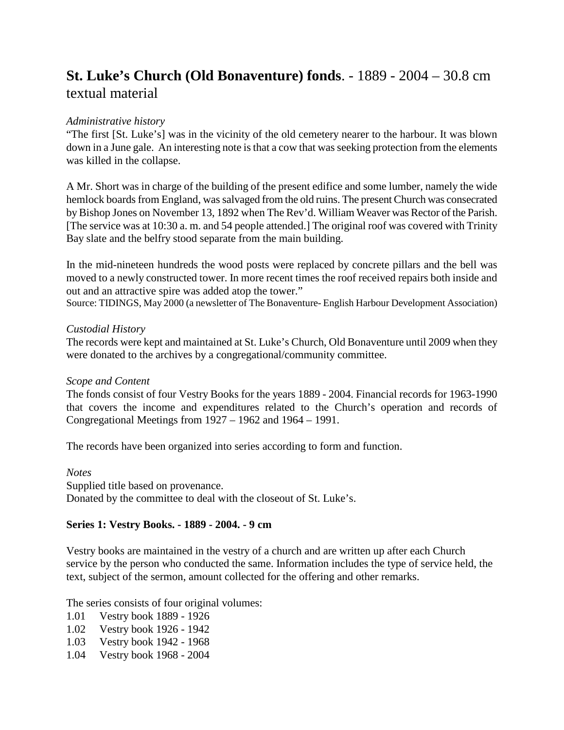# **St. Luke's Church (Old Bonaventure) fonds**. - 1889 - 2004 – 30.8 cm textual material

# *Administrative history*

"The first [St. Luke's] was in the vicinity of the old cemetery nearer to the harbour. It was blown down in a June gale. An interesting note is that a cow that was seeking protection from the elements was killed in the collapse.

A Mr. Short was in charge of the building of the present edifice and some lumber, namely the wide hemlock boards from England, was salvaged from the old ruins. The present Church was consecrated by Bishop Jones on November 13, 1892 when The Rev'd. William Weaver was Rector of the Parish. [The service was at 10:30 a. m. and 54 people attended.] The original roof was covered with Trinity Bay slate and the belfry stood separate from the main building.

In the mid-nineteen hundreds the wood posts were replaced by concrete pillars and the bell was moved to a newly constructed tower. In more recent times the roof received repairs both inside and out and an attractive spire was added atop the tower."

Source: TIDINGS, May 2000 (a newsletter of The Bonaventure- English Harbour Development Association)

### *Custodial History*

The records were kept and maintained at St. Luke's Church, Old Bonaventure until 2009 when they were donated to the archives by a congregational/community committee.

### *Scope and Content*

The fonds consist of four Vestry Books for the years 1889 - 2004. Financial records for 1963-1990 that covers the income and expenditures related to the Church's operation and records of Congregational Meetings from 1927 – 1962 and 1964 – 1991.

The records have been organized into series according to form and function.

*Notes* Supplied title based on provenance. Donated by the committee to deal with the closeout of St. Luke's.

### **Series 1: Vestry Books. - 1889 - 2004. - 9 cm**

Vestry books are maintained in the vestry of a church and are written up after each Church service by the person who conducted the same. Information includes the type of service held, the text, subject of the sermon, amount collected for the offering and other remarks.

The series consists of four original volumes:

- 1.01 Vestry book 1889 1926
- 1.02 Vestry book 1926 1942
- 1.03 Vestry book 1942 1968
- 1.04 Vestry book 1968 2004